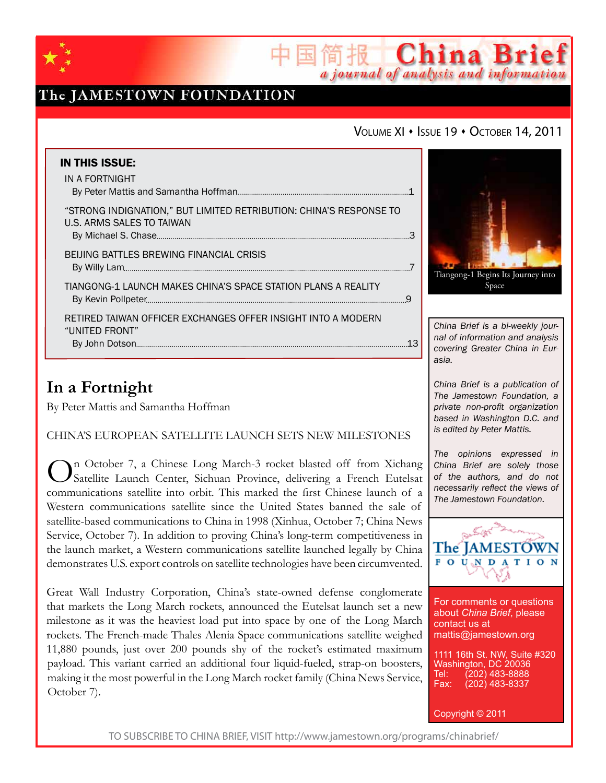

## The JAMESTOWN FOUNDATION

### VOLUME XI · ISSUE 19 · OCTOBER 14, 2011

国简报 China Brief

a journal of analysis and information

| <b>IN THIS ISSUE:</b><br>IN A FORTNIGHT                                                         |   |
|-------------------------------------------------------------------------------------------------|---|
| "STRONG INDIGNATION," BUT LIMITED RETRIBUTION: CHINA'S RESPONSE TO<br>U.S. ARMS SALES TO TAIWAN |   |
| <b>BEIJING BATTLES BREWING FINANCIAL CRISIS</b>                                                 |   |
| TIANGONG-1 LAUNCH MAKES CHINA'S SPACE STATION PLANS A REALITY                                   | q |
| RETIRED TAIWAN OFFICER EXCHANGES OFFER INSIGHT INTO A MODERN<br>"UNITED FRONT"                  |   |

# **In a Fortnight**

By Peter Mattis and Samantha Hoffman

China's European Satellite Launch Sets New Milestones

On October 7, a Chinese Long March-3 rocket blasted off from Xichang Satellite Launch Center, Sichuan Province, delivering a French Eutelsat communications satellite into orbit. This marked the first Chinese launch of a Western communications satellite since the United States banned the sale of satellite-based communications to China in 1998 (Xinhua, October 7; China News Service, October 7). In addition to proving China's long-term competitiveness in the launch market, a Western communications satellite launched legally by China demonstrates U.S. export controls on satellite technologies have been circumvented.

Great Wall Industry Corporation, China's state-owned defense conglomerate that markets the Long March rockets, announced the Eutelsat launch set a new milestone as it was the heaviest load put into space by one of the Long March rockets. The French-made Thales Alenia Space communications satellite weighed 11,880 pounds, just over 200 pounds shy of the rocket's estimated maximum payload. This variant carried an additional four liquid-fueled, strap-on boosters, making it the most powerful in the Long March rocket family (China News Service, October 7).



*China Brief is a bi-weekly journal of information and analysis covering Greater China in Eurasia.* 

*China Brief is a publication of The Jamestown Foundation, a private non-profit organization based in Washington D.C. and is edited by Peter Mattis.*

*The opinions expressed in China Brief are solely those of the authors, and do not necessarily reflect the views of The Jamestown Foundation.*



For comments or questions about *China Brief*, please contact us at mattis@jamestown.org

1111 16th St. NW, Suite #320 Washington, DC 20036 Tel: (202) 483-8888<br>Fax: (202) 483-8337 (202) 483-8337

Copyright © 2011

TO SUBSCRIBE TO CHINA BRIEF, VISIT http://www.jamestown.org/programs/chinabrief/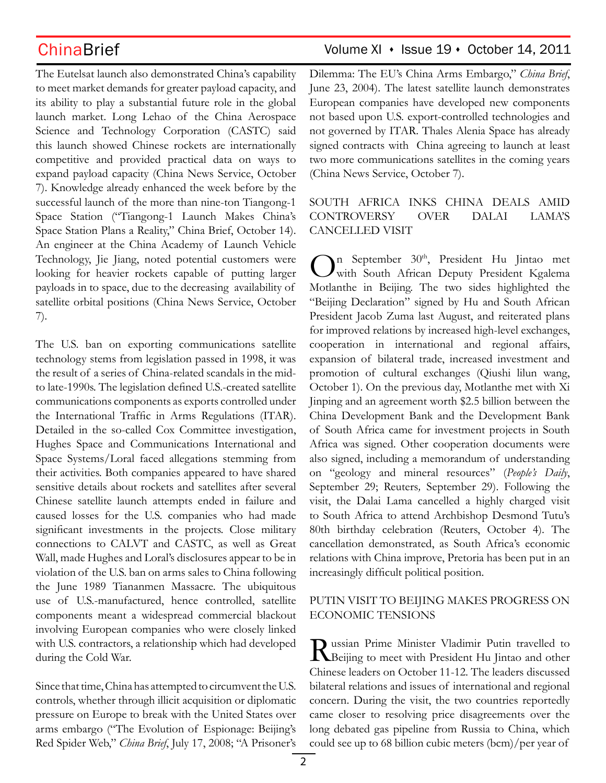The Eutelsat launch also demonstrated China's capability to meet market demands for greater payload capacity, and its ability to play a substantial future role in the global launch market. Long Lehao of the China Aerospace Science and Technology Corporation (CASTC) said this launch showed Chinese rockets are internationally competitive and provided practical data on ways to expand payload capacity (China News Service, October 7). Knowledge already enhanced the week before by the successful launch of the more than nine-ton Tiangong-1 Space Station ("Tiangong-1 Launch Makes China's Space Station Plans a Reality," China Brief, October 14). An engineer at the China Academy of Launch Vehicle Technology, Jie Jiang, noted potential customers were looking for heavier rockets capable of putting larger payloads in to space, due to the decreasing availability of satellite orbital positions (China News Service, October 7).

The U.S. ban on exporting communications satellite technology stems from legislation passed in 1998, it was the result of a series of China-related scandals in the midto late-1990s. The legislation defined U.S.-created satellite communications components as exports controlled under the International Traffic in Arms Regulations (ITAR). Detailed in the so-called Cox Committee investigation, Hughes Space and Communications International and Space Systems/Loral faced allegations stemming from their activities. Both companies appeared to have shared sensitive details about rockets and satellites after several Chinese satellite launch attempts ended in failure and caused losses for the U.S. companies who had made significant investments in the projects. Close military connections to CALVT and CASTC, as well as Great Wall, made Hughes and Loral's disclosures appear to be in violation of the U.S. ban on arms sales to China following the June 1989 Tiananmen Massacre. The ubiquitous use of U.S.-manufactured, hence controlled, satellite components meant a widespread commercial blackout involving European companies who were closely linked with U.S. contractors, a relationship which had developed during the Cold War.

Since that time, China has attempted to circumvent the U.S. controls, whether through illicit acquisition or diplomatic pressure on Europe to break with the United States over arms embargo ("The Evolution of Espionage: Beijing's Red Spider Web," *China Brief*, July 17, 2008; "A Prisoner's

### ChinaBrief ChinaBrief Volume XI + Issue 19 + October 14, 2011

Dilemma: The EU's China Arms Embargo," *China Brief*, June 23, 2004). The latest satellite launch demonstrates European companies have developed new components not based upon U.S. export-controlled technologies and not governed by ITAR. Thales Alenia Space has already signed contracts with China agreeing to launch at least two more communications satellites in the coming years (China News Service, October 7).

### South Africa Inks China Deals Amid Controversy over Dalai Lama's Cancelled Visit

On September 30<sup>th</sup>, President Hu Jintao met<br>
With South African Deputy President Kgalema Motlanthe in Beijing. The two sides highlighted the "Beijing Declaration" signed by Hu and South African President Jacob Zuma last August, and reiterated plans for improved relations by increased high-level exchanges, cooperation in international and regional affairs, expansion of bilateral trade, increased investment and promotion of cultural exchanges (Qiushi lilun wang, October 1). On the previous day, Motlanthe met with Xi Jinping and an agreement worth \$2.5 billion between the China Development Bank and the Development Bank of South Africa came for investment projects in South Africa was signed. Other cooperation documents were also signed, including a memorandum of understanding on "geology and mineral resources" (*People's Daily*, September 29; Reuters*,* September 29). Following the visit, the Dalai Lama cancelled a highly charged visit to South Africa to attend Archbishop Desmond Tutu's 80th birthday celebration (Reuters, October 4). The cancellation demonstrated, as South Africa's economic relations with China improve, Pretoria has been put in an increasingly difficult political position.

### Putin Visit to Beijing Makes Progress on Economic Tensions

**T** ussian Prime Minister Vladimir Putin travelled to **IN** Beijing to meet with President Hu Jintao and other Chinese leaders on October 11-12. The leaders discussed bilateral relations and issues of international and regional concern. During the visit, the two countries reportedly came closer to resolving price disagreements over the long debated gas pipeline from Russia to China, which could see up to 68 billion cubic meters (bcm)/per year of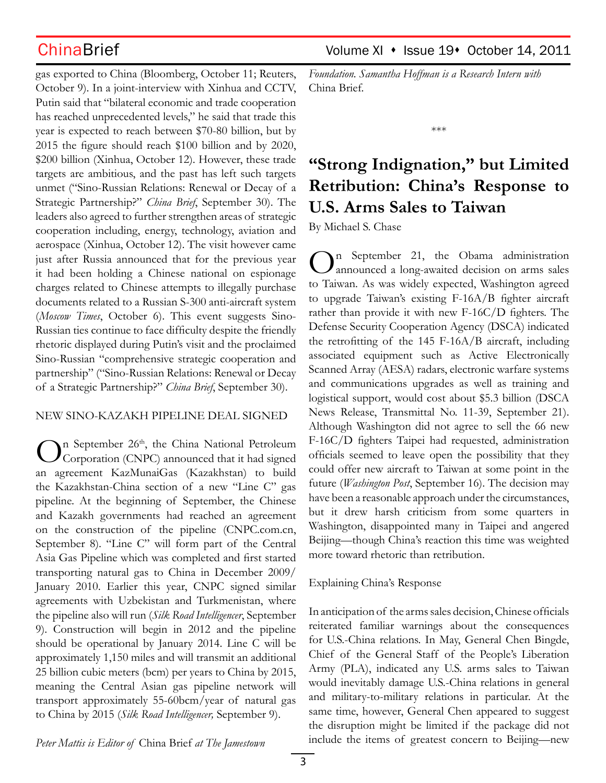gas exported to China (Bloomberg, October 11; Reuters, October 9). In a joint-interview with Xinhua and CCTV, Putin said that "bilateral economic and trade cooperation has reached unprecedented levels," he said that trade this year is expected to reach between \$70-80 billion, but by 2015 the figure should reach \$100 billion and by 2020, \$200 billion (Xinhua, October 12). However, these trade targets are ambitious, and the past has left such targets unmet ("Sino-Russian Relations: Renewal or Decay of a Strategic Partnership?" *China Brief*, September 30). The leaders also agreed to further strengthen areas of strategic cooperation including, energy, technology, aviation and aerospace (Xinhua, October 12). The visit however came just after Russia announced that for the previous year it had been holding a Chinese national on espionage charges related to Chinese attempts to illegally purchase documents related to a Russian S-300 anti-aircraft system (*Moscow Times*, October 6). This event suggests Sino-Russian ties continue to face difficulty despite the friendly rhetoric displayed during Putin's visit and the proclaimed Sino-Russian "comprehensive strategic cooperation and partnership" ("Sino-Russian Relations: Renewal or Decay of a Strategic Partnership?" *China Brief*, September 30).

### New Sino-Kazakh Pipeline Deal Signed

In September 26<sup>th</sup>, the China National Petroleum Corporation (CNPC) announced that it had signed an agreement KazMunaiGas (Kazakhstan) to build the Kazakhstan-China section of a new "Line C" gas pipeline. At the beginning of September, the Chinese and Kazakh governments had reached an agreement on the construction of the pipeline (CNPC.com.cn, September 8). "Line C" will form part of the Central Asia Gas Pipeline which was completed and first started transporting natural gas to China in December 2009/ January 2010. Earlier this year, CNPC signed similar agreements with Uzbekistan and Turkmenistan, where the pipeline also will run (*Silk Road Intelligencer*, September 9). Construction will begin in 2012 and the pipeline should be operational by January 2014. Line C will be approximately 1,150 miles and will transmit an additional 25 billion cubic meters (bcm) per years to China by 2015, meaning the Central Asian gas pipeline network will transport approximately 55-60bcm/year of natural gas to China by 2015 (*Silk Road Intelligencer,* September 9).

*Foundation. Samantha Hoffman is a Research Intern with*  China Brief.

\*\*\*

# **"Strong Indignation," but Limited Retribution: China's Response to U.S. Arms Sales to Taiwan**

By Michael S. Chase

n September 21, the Obama administration announced a long-awaited decision on arms sales to Taiwan. As was widely expected, Washington agreed to upgrade Taiwan's existing F-16A/B fighter aircraft rather than provide it with new F-16C/D fighters. The Defense Security Cooperation Agency (DSCA) indicated the retrofitting of the 145 F-16A/B aircraft, including associated equipment such as Active Electronically Scanned Array (AESA) radars, electronic warfare systems and communications upgrades as well as training and logistical support, would cost about \$5.3 billion (DSCA News Release, Transmittal No. 11-39, September 21). Although Washington did not agree to sell the 66 new F-16C/D fighters Taipei had requested, administration officials seemed to leave open the possibility that they could offer new aircraft to Taiwan at some point in the future (*Washington Post*, September 16). The decision may have been a reasonable approach under the circumstances, but it drew harsh criticism from some quarters in Washington, disappointed many in Taipei and angered Beijing—though China's reaction this time was weighted more toward rhetoric than retribution.

### Explaining China's Response

In anticipation of the arms sales decision, Chinese officials reiterated familiar warnings about the consequences for U.S.-China relations. In May, General Chen Bingde, Chief of the General Staff of the People's Liberation Army (PLA), indicated any U.S. arms sales to Taiwan would inevitably damage U.S.-China relations in general and military-to-military relations in particular. At the same time, however, General Chen appeared to suggest the disruption might be limited if the package did not include the items of greatest concern to Beijing—new

*Peter Mattis is Editor of* China Brief *at The Jamestown*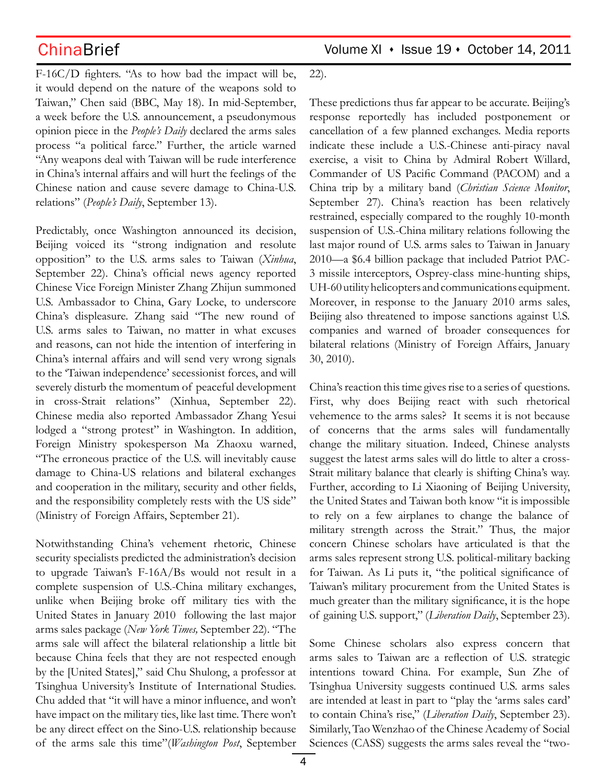ChinaBrief Volume XI · Issue 19 · October 14, 2011

F-16C/D fighters. "As to how bad the impact will be, it would depend on the nature of the weapons sold to Taiwan," Chen said (BBC, May 18). In mid-September, a week before the U.S. announcement, a pseudonymous opinion piece in the *People's Daily* declared the arms sales process "a political farce." Further, the article warned "Any weapons deal with Taiwan will be rude interference in China's internal affairs and will hurt the feelings of the Chinese nation and cause severe damage to China-U.S. relations" (*People's Daily*, September 13).

Predictably, once Washington announced its decision, Beijing voiced its "strong indignation and resolute opposition" to the U.S. arms sales to Taiwan (*Xinhua*, September 22). China's official news agency reported Chinese Vice Foreign Minister Zhang Zhijun summoned U.S. Ambassador to China, Gary Locke, to underscore China's displeasure. Zhang said "The new round of U.S. arms sales to Taiwan, no matter in what excuses and reasons, can not hide the intention of interfering in China's internal affairs and will send very wrong signals to the 'Taiwan independence' secessionist forces, and will severely disturb the momentum of peaceful development in cross-Strait relations" (Xinhua, September 22). Chinese media also reported Ambassador Zhang Yesui lodged a "strong protest" in Washington. In addition, Foreign Ministry spokesperson Ma Zhaoxu warned, "The erroneous practice of the U.S. will inevitably cause damage to China-US relations and bilateral exchanges and cooperation in the military, security and other fields, and the responsibility completely rests with the US side" (Ministry of Foreign Affairs, September 21).

Notwithstanding China's vehement rhetoric, Chinese security specialists predicted the administration's decision to upgrade Taiwan's F-16A/Bs would not result in a complete suspension of U.S.-China military exchanges, unlike when Beijing broke off military ties with the United States in January 2010 following the last major arms sales package (*New York Times,* September 22). "The arms sale will affect the bilateral relationship a little bit because China feels that they are not respected enough by the [United States]," said Chu Shulong, a professor at Tsinghua University's Institute of International Studies. Chu added that "it will have a minor influence, and won't have impact on the military ties, like last time. There won't be any direct effect on the Sino-U.S. relationship because of the arms sale this time"(*Washington Post*, September

### 22).

These predictions thus far appear to be accurate. Beijing's response reportedly has included postponement or cancellation of a few planned exchanges. Media reports indicate these include a U.S.-Chinese anti-piracy naval exercise, a visit to China by Admiral Robert Willard, Commander of US Pacific Command (PACOM) and a China trip by a military band (*Christian Science Monitor*, September 27). China's reaction has been relatively restrained, especially compared to the roughly 10-month suspension of U.S.-China military relations following the last major round of U.S. arms sales to Taiwan in January 2010—a \$6.4 billion package that included Patriot PAC-3 missile interceptors, Osprey-class mine-hunting ships, UH-60 utility helicopters and communications equipment. Moreover, in response to the January 2010 arms sales, Beijing also threatened to impose sanctions against U.S. companies and warned of broader consequences for bilateral relations (Ministry of Foreign Affairs, January 30, 2010).

China's reaction this time gives rise to a series of questions. First, why does Beijing react with such rhetorical vehemence to the arms sales? It seems it is not because of concerns that the arms sales will fundamentally change the military situation. Indeed, Chinese analysts suggest the latest arms sales will do little to alter a cross-Strait military balance that clearly is shifting China's way. Further, according to Li Xiaoning of Beijing University, the United States and Taiwan both know "it is impossible to rely on a few airplanes to change the balance of military strength across the Strait." Thus, the major concern Chinese scholars have articulated is that the arms sales represent strong U.S. political-military backing for Taiwan. As Li puts it, "the political significance of Taiwan's military procurement from the United States is much greater than the military significance, it is the hope of gaining U.S. support," (*Liberation Daily*, September 23).

Some Chinese scholars also express concern that arms sales to Taiwan are a reflection of U.S. strategic intentions toward China. For example, Sun Zhe of Tsinghua University suggests continued U.S. arms sales are intended at least in part to "play the 'arms sales card' to contain China's rise," (*Liberation Daily*, September 23). Similarly, Tao Wenzhao of the Chinese Academy of Social Sciences (CASS) suggests the arms sales reveal the "two-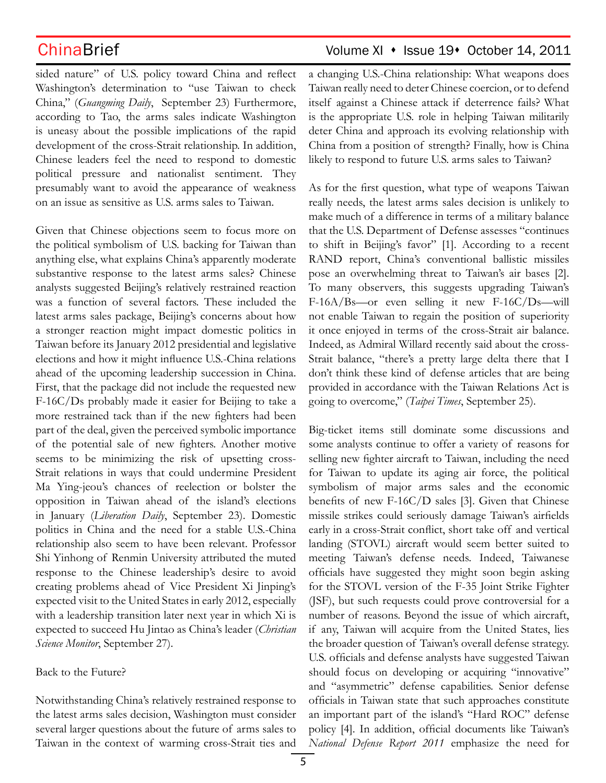sided nature" of U.S. policy toward China and reflect Washington's determination to "use Taiwan to check China," (*Guangming Daily*, September 23) Furthermore, according to Tao, the arms sales indicate Washington is uneasy about the possible implications of the rapid development of the cross-Strait relationship. In addition, Chinese leaders feel the need to respond to domestic political pressure and nationalist sentiment. They presumably want to avoid the appearance of weakness on an issue as sensitive as U.S. arms sales to Taiwan.

Given that Chinese objections seem to focus more on the political symbolism of U.S. backing for Taiwan than anything else, what explains China's apparently moderate substantive response to the latest arms sales? Chinese analysts suggested Beijing's relatively restrained reaction was a function of several factors. These included the latest arms sales package, Beijing's concerns about how a stronger reaction might impact domestic politics in Taiwan before its January 2012 presidential and legislative elections and how it might influence U.S.-China relations ahead of the upcoming leadership succession in China. First, that the package did not include the requested new F-16C/Ds probably made it easier for Beijing to take a more restrained tack than if the new fighters had been part of the deal, given the perceived symbolic importance of the potential sale of new fighters. Another motive seems to be minimizing the risk of upsetting cross-Strait relations in ways that could undermine President Ma Ying-jeou's chances of reelection or bolster the opposition in Taiwan ahead of the island's elections in January (*Liberation Daily*, September 23). Domestic politics in China and the need for a stable U.S.-China relationship also seem to have been relevant. Professor Shi Yinhong of Renmin University attributed the muted response to the Chinese leadership's desire to avoid creating problems ahead of Vice President Xi Jinping's expected visit to the United States in early 2012, especially with a leadership transition later next year in which Xi is expected to succeed Hu Jintao as China's leader (*Christian Science Monitor*, September 27).

### Back to the Future?

Notwithstanding China's relatively restrained response to the latest arms sales decision, Washington must consider several larger questions about the future of arms sales to Taiwan in the context of warming cross-Strait ties and

## ChinaBrief ChinaBrief Volume XI • Issue 19• October 14, 2011

a changing U.S.-China relationship: What weapons does Taiwan really need to deter Chinese coercion, or to defend itself against a Chinese attack if deterrence fails? What is the appropriate U.S. role in helping Taiwan militarily deter China and approach its evolving relationship with China from a position of strength? Finally, how is China likely to respond to future U.S. arms sales to Taiwan?

As for the first question, what type of weapons Taiwan really needs, the latest arms sales decision is unlikely to make much of a difference in terms of a military balance that the U.S. Department of Defense assesses "continues to shift in Beijing's favor" [1]. According to a recent RAND report, China's conventional ballistic missiles pose an overwhelming threat to Taiwan's air bases [2]. To many observers, this suggests upgrading Taiwan's F-16A/Bs—or even selling it new F-16C/Ds—will not enable Taiwan to regain the position of superiority it once enjoyed in terms of the cross-Strait air balance. Indeed, as Admiral Willard recently said about the cross-Strait balance, "there's a pretty large delta there that I don't think these kind of defense articles that are being provided in accordance with the Taiwan Relations Act is going to overcome," (*Taipei Times*, September 25).

Big-ticket items still dominate some discussions and some analysts continue to offer a variety of reasons for selling new fighter aircraft to Taiwan, including the need for Taiwan to update its aging air force, the political symbolism of major arms sales and the economic benefits of new F-16C/D sales [3]. Given that Chinese missile strikes could seriously damage Taiwan's airfields early in a cross-Strait conflict, short take off and vertical landing (STOVL) aircraft would seem better suited to meeting Taiwan's defense needs. Indeed, Taiwanese officials have suggested they might soon begin asking for the STOVL version of the F-35 Joint Strike Fighter (JSF), but such requests could prove controversial for a number of reasons. Beyond the issue of which aircraft, if any, Taiwan will acquire from the United States, lies the broader question of Taiwan's overall defense strategy. U.S. officials and defense analysts have suggested Taiwan should focus on developing or acquiring "innovative" and "asymmetric" defense capabilities. Senior defense officials in Taiwan state that such approaches constitute an important part of the island's "Hard ROC" defense policy [4]. In addition, official documents like Taiwan's *National Defense Report 2011* emphasize the need for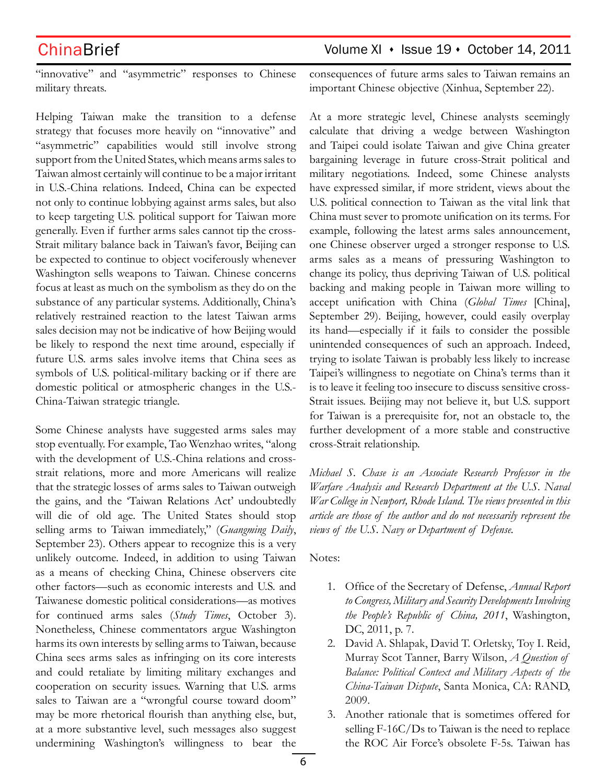## ChinaBrief ChinaBrief Volume XI + Issue 19 + October 14, 2011

"innovative" and "asymmetric" responses to Chinese military threats.

Helping Taiwan make the transition to a defense strategy that focuses more heavily on "innovative" and "asymmetric" capabilities would still involve strong support from the United States, which means arms sales to Taiwan almost certainly will continue to be a major irritant in U.S.-China relations. Indeed, China can be expected not only to continue lobbying against arms sales, but also to keep targeting U.S. political support for Taiwan more generally. Even if further arms sales cannot tip the cross-Strait military balance back in Taiwan's favor, Beijing can be expected to continue to object vociferously whenever Washington sells weapons to Taiwan. Chinese concerns focus at least as much on the symbolism as they do on the substance of any particular systems. Additionally, China's relatively restrained reaction to the latest Taiwan arms sales decision may not be indicative of how Beijing would be likely to respond the next time around, especially if future U.S. arms sales involve items that China sees as symbols of U.S. political-military backing or if there are domestic political or atmospheric changes in the U.S.- China-Taiwan strategic triangle.

Some Chinese analysts have suggested arms sales may stop eventually. For example, Tao Wenzhao writes, "along with the development of U.S.-China relations and crossstrait relations, more and more Americans will realize that the strategic losses of arms sales to Taiwan outweigh the gains, and the 'Taiwan Relations Act' undoubtedly will die of old age. The United States should stop selling arms to Taiwan immediately," (*Guangming Daily*, September 23). Others appear to recognize this is a very unlikely outcome. Indeed, in addition to using Taiwan as a means of checking China, Chinese observers cite other factors—such as economic interests and U.S. and Taiwanese domestic political considerations—as motives for continued arms sales (*Study Times*, October 3). Nonetheless, Chinese commentators argue Washington harms its own interests by selling arms to Taiwan, because China sees arms sales as infringing on its core interests and could retaliate by limiting military exchanges and cooperation on security issues. Warning that U.S. arms sales to Taiwan are a "wrongful course toward doom" may be more rhetorical flourish than anything else, but, at a more substantive level, such messages also suggest undermining Washington's willingness to bear the

consequences of future arms sales to Taiwan remains an important Chinese objective (Xinhua, September 22).

At a more strategic level, Chinese analysts seemingly calculate that driving a wedge between Washington and Taipei could isolate Taiwan and give China greater bargaining leverage in future cross-Strait political and military negotiations. Indeed, some Chinese analysts have expressed similar, if more strident, views about the U.S. political connection to Taiwan as the vital link that China must sever to promote unification on its terms. For example, following the latest arms sales announcement, one Chinese observer urged a stronger response to U.S. arms sales as a means of pressuring Washington to change its policy, thus depriving Taiwan of U.S. political backing and making people in Taiwan more willing to accept unification with China (*Global Times* [China], September 29). Beijing, however, could easily overplay its hand—especially if it fails to consider the possible unintended consequences of such an approach. Indeed, trying to isolate Taiwan is probably less likely to increase Taipei's willingness to negotiate on China's terms than it is to leave it feeling too insecure to discuss sensitive cross-Strait issues. Beijing may not believe it, but U.S. support for Taiwan is a prerequisite for, not an obstacle to, the further development of a more stable and constructive cross-Strait relationship.

*Michael S. Chase is an Associate Research Professor in the Warfare Analysis and Research Department at the U.S. Naval War College in Newport, Rhode Island. The views presented in this article are those of the author and do not necessarily represent the views of the U.S. Navy or Department of Defense.*

Notes:

- 1. Office of the Secretary of Defense, *Annual Report to Congress, Military and Security Developments Involving the People's Republic of China, 2011*, Washington, DC, 2011, p. 7.
- 2. David A. Shlapak, David T. Orletsky, Toy I. Reid, Murray Scot Tanner, Barry Wilson, *A Question of Balance: Political Context and Military Aspects of the China-Taiwan Dispute*, Santa Monica, CA: RAND, 2009.
- 3. Another rationale that is sometimes offered for selling F-16C/Ds to Taiwan is the need to replace the ROC Air Force's obsolete F-5s. Taiwan has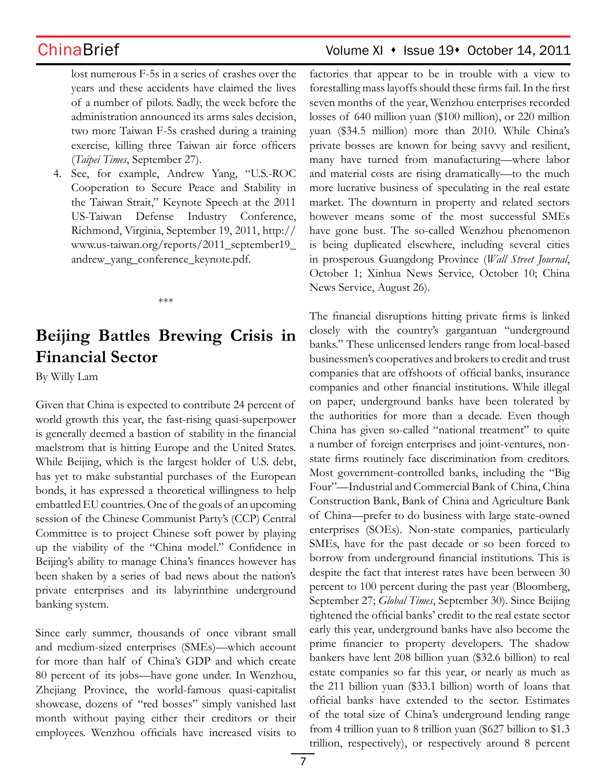ChinaBrief ChinaBrief Volume XI • Issue 19• October 14, 2011

lost numerous F-5s in a series of crashes over the years and these accidents have claimed the lives of a number of pilots. Sadly, the week before the administration announced its arms sales decision, two more Taiwan F-5s crashed during a training exercise, killing three Taiwan air force officers (*Taipei Times*, September 27).

4. See, for example, Andrew Yang, "U.S.-ROC Cooperation to Secure Peace and Stability in the Taiwan Strait," Keynote Speech at the 2011 US-Taiwan Defense Industry Conference, Richmond, Virginia, September 19, 2011, http:// www.us-taiwan.org/reports/2011\_september19\_ andrew\_yang\_conference\_keynote.pdf.

\*\*\*

# **Beijing Battles Brewing Crisis in Financial Sector**

By Willy Lam

Given that China is expected to contribute 24 percent of world growth this year, the fast-rising quasi-superpower is generally deemed a bastion of stability in the financial maelstrom that is hitting Europe and the United States. While Beijing, which is the largest holder of U.S. debt, has yet to make substantial purchases of the European bonds, it has expressed a theoretical willingness to help embattled EU countries. One of the goals of an upcoming session of the Chinese Communist Party's (CCP) Central Committee is to project Chinese soft power by playing up the viability of the "China model." Confidence in Beijing's ability to manage China's finances however has been shaken by a series of bad news about the nation's private enterprises and its labyrinthine underground banking system.

Since early summer, thousands of once vibrant small and medium-sized enterprises (SMEs)—which account for more than half of China's GDP and which create 80 percent of its jobs—have gone under. In Wenzhou, Zhejiang Province, the world-famous quasi-capitalist showcase, dozens of "red bosses" simply vanished last month without paying either their creditors or their employees. Wenzhou officials have increased visits to factories that appear to be in trouble with a view to forestalling mass layoffs should these firms fail. In the first seven months of the year, Wenzhou enterprises recorded losses of 640 million yuan (\$100 million), or 220 million yuan (\$34.5 million) more than 2010. While China's private bosses are known for being savvy and resilient, many have turned from manufacturing—where labor and material costs are rising dramatically—to the much more lucrative business of speculating in the real estate market. The downturn in property and related sectors however means some of the most successful SMEs have gone bust. The so-called Wenzhou phenomenon is being duplicated elsewhere, including several cities in prosperous Guangdong Province (*Wall Street Journal*, October 1; Xinhua News Service, October 10; China News Service, August 26).

The financial disruptions hitting private firms is linked closely with the country's gargantuan "underground banks." These unlicensed lenders range from local-based businessmen's cooperatives and brokers to credit and trust companies that are offshoots of official banks, insurance companies and other financial institutions. While illegal on paper, underground banks have been tolerated by the authorities for more than a decade. Even though China has given so-called "national treatment" to quite a number of foreign enterprises and joint-ventures, nonstate firms routinely face discrimination from creditors. Most government-controlled banks, including the "Big Four"—Industrial and Commercial Bank of China, China Construction Bank, Bank of China and Agriculture Bank of China—prefer to do business with large state-owned enterprises (SOEs). Non-state companies, particularly SMEs, have for the past decade or so been forced to borrow from underground financial institutions. This is despite the fact that interest rates have been between 30 percent to 100 percent during the past year (Bloomberg, September 27; *Global Times*, September 30). Since Beijing tightened the official banks' credit to the real estate sector early this year, underground banks have also become the prime financier to property developers. The shadow bankers have lent 208 billion yuan (\$32.6 billion) to real estate companies so far this year, or nearly as much as the 211 billion yuan (\$33.1 billion) worth of loans that official banks have extended to the sector. Estimates of the total size of China's underground lending range from 4 trillion yuan to 8 trillion yuan (\$627 billion to \$1.3 trillion, respectively), or respectively around 8 percent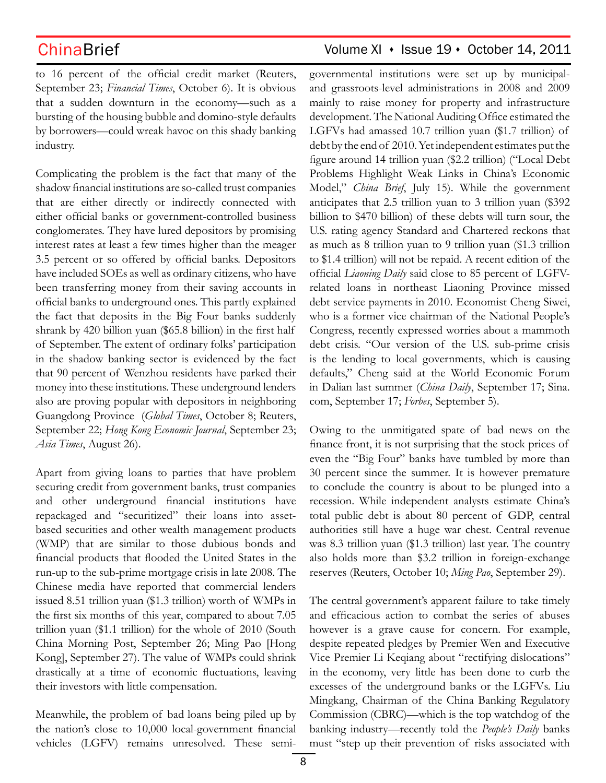to 16 percent of the official credit market (Reuters, September 23; *Financial Times*, October 6). It is obvious that a sudden downturn in the economy—such as a bursting of the housing bubble and domino-style defaults by borrowers—could wreak havoc on this shady banking industry.

Complicating the problem is the fact that many of the shadow financial institutions are so-called trust companies that are either directly or indirectly connected with either official banks or government-controlled business conglomerates. They have lured depositors by promising interest rates at least a few times higher than the meager 3.5 percent or so offered by official banks. Depositors have included SOEs as well as ordinary citizens, who have been transferring money from their saving accounts in official banks to underground ones. This partly explained the fact that deposits in the Big Four banks suddenly shrank by 420 billion yuan (\$65.8 billion) in the first half of September. The extent of ordinary folks' participation in the shadow banking sector is evidenced by the fact that 90 percent of Wenzhou residents have parked their money into these institutions. These underground lenders also are proving popular with depositors in neighboring Guangdong Province (*Global Times*, October 8; Reuters, September 22; *Hong Kong Economic Journal*, September 23; *Asia Times*, August 26).

Apart from giving loans to parties that have problem securing credit from government banks, trust companies and other underground financial institutions have repackaged and "securitized" their loans into assetbased securities and other wealth management products (WMP) that are similar to those dubious bonds and financial products that flooded the United States in the run-up to the sub-prime mortgage crisis in late 2008. The Chinese media have reported that commercial lenders issued 8.51 trillion yuan (\$1.3 trillion) worth of WMPs in the first six months of this year, compared to about 7.05 trillion yuan (\$1.1 trillion) for the whole of 2010 (South China Morning Post, September 26; Ming Pao [Hong Kong], September 27). The value of WMPs could shrink drastically at a time of economic fluctuations, leaving their investors with little compensation.

Meanwhile, the problem of bad loans being piled up by the nation's close to 10,000 local-government financial vehicles (LGFV) remains unresolved. These semi-

## ChinaBrief Volume XI · Issue 19 · October 14, 2011

governmental institutions were set up by municipaland grassroots-level administrations in 2008 and 2009 mainly to raise money for property and infrastructure development. The National Auditing Office estimated the LGFVs had amassed 10.7 trillion yuan (\$1.7 trillion) of debt by the end of 2010. Yet independent estimates put the figure around 14 trillion yuan (\$2.2 trillion) ("Local Debt Problems Highlight Weak Links in China's Economic Model," *China Brief*, July 15). While the government anticipates that 2.5 trillion yuan to 3 trillion yuan (\$392 billion to \$470 billion) of these debts will turn sour, the U.S. rating agency Standard and Chartered reckons that as much as 8 trillion yuan to 9 trillion yuan (\$1.3 trillion to \$1.4 trillion) will not be repaid. A recent edition of the official *Liaoning Daily* said close to 85 percent of LGFVrelated loans in northeast Liaoning Province missed debt service payments in 2010. Economist Cheng Siwei, who is a former vice chairman of the National People's Congress, recently expressed worries about a mammoth debt crisis. "Our version of the U.S. sub-prime crisis is the lending to local governments, which is causing defaults," Cheng said at the World Economic Forum in Dalian last summer (*China Daily*, September 17; Sina. com, September 17; *Forbes*, September 5).

Owing to the unmitigated spate of bad news on the finance front, it is not surprising that the stock prices of even the "Big Four" banks have tumbled by more than 30 percent since the summer. It is however premature to conclude the country is about to be plunged into a recession. While independent analysts estimate China's total public debt is about 80 percent of GDP, central authorities still have a huge war chest. Central revenue was 8.3 trillion yuan (\$1.3 trillion) last year. The country also holds more than \$3.2 trillion in foreign-exchange reserves (Reuters, October 10; *Ming Pao*, September 29).

The central government's apparent failure to take timely and efficacious action to combat the series of abuses however is a grave cause for concern. For example, despite repeated pledges by Premier Wen and Executive Vice Premier Li Keqiang about "rectifying dislocations" in the economy, very little has been done to curb the excesses of the underground banks or the LGFVs. Liu Mingkang, Chairman of the China Banking Regulatory Commission (CBRC)—which is the top watchdog of the banking industry—recently told the *People's Daily* banks must "step up their prevention of risks associated with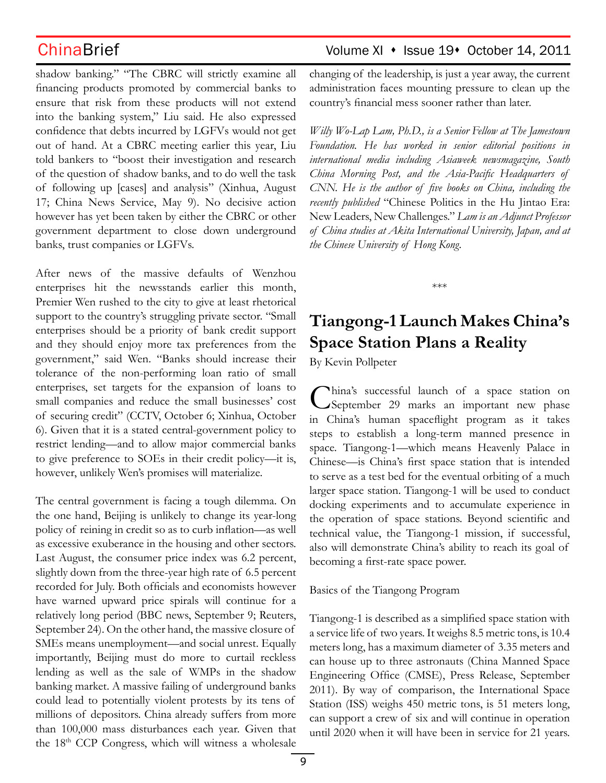shadow banking." "The CBRC will strictly examine all financing products promoted by commercial banks to ensure that risk from these products will not extend into the banking system," Liu said. He also expressed confidence that debts incurred by LGFVs would not get out of hand. At a CBRC meeting earlier this year, Liu told bankers to "boost their investigation and research of the question of shadow banks, and to do well the task of following up [cases] and analysis" (Xinhua, August 17; China News Service, May 9). No decisive action however has yet been taken by either the CBRC or other government department to close down underground banks, trust companies or LGFVs.

After news of the massive defaults of Wenzhou enterprises hit the newsstands earlier this month, Premier Wen rushed to the city to give at least rhetorical support to the country's struggling private sector. "Small enterprises should be a priority of bank credit support and they should enjoy more tax preferences from the government," said Wen. "Banks should increase their tolerance of the non-performing loan ratio of small enterprises, set targets for the expansion of loans to small companies and reduce the small businesses' cost of securing credit" (CCTV, October 6; Xinhua, October 6). Given that it is a stated central-government policy to restrict lending—and to allow major commercial banks to give preference to SOEs in their credit policy—it is, however, unlikely Wen's promises will materialize.

The central government is facing a tough dilemma. On the one hand, Beijing is unlikely to change its year-long policy of reining in credit so as to curb inflation—as well as excessive exuberance in the housing and other sectors. Last August, the consumer price index was 6.2 percent, slightly down from the three-year high rate of 6.5 percent recorded for July. Both officials and economists however have warned upward price spirals will continue for a relatively long period (BBC news, September 9; Reuters, September 24). On the other hand, the massive closure of SMEs means unemployment—and social unrest. Equally importantly, Beijing must do more to curtail reckless lending as well as the sale of WMPs in the shadow banking market. A massive failing of underground banks could lead to potentially violent protests by its tens of millions of depositors. China already suffers from more than 100,000 mass disturbances each year. Given that the 18th CCP Congress, which will witness a wholesale

## ChinaBrief ChinaBrief Volume XI • Issue 19• October 14, 2011

changing of the leadership, is just a year away, the current administration faces mounting pressure to clean up the country's financial mess sooner rather than later.

*Willy Wo-Lap Lam, Ph.D., is a Senior Fellow at The Jamestown Foundation. He has worked in senior editorial positions in international media including Asiaweek newsmagazine, South China Morning Post, and the Asia-Pacific Headquarters of CNN. He is the author of five books on China, including the recently published* "Chinese Politics in the Hu Jintao Era: New Leaders, New Challenges." *Lam is an Adjunct Professor of China studies at Akita International University, Japan, and at the Chinese University of Hong Kong.*

**Tiangong-1 Launch Makes China's Space Station Plans a Reality**

\*\*\*

By Kevin Pollpeter

China's successful launch of a space station on September 29 marks an important new phase in China's human spaceflight program as it takes steps to establish a long-term manned presence in space. Tiangong-1—which means Heavenly Palace in Chinese—is China's first space station that is intended to serve as a test bed for the eventual orbiting of a much larger space station. Tiangong-1 will be used to conduct docking experiments and to accumulate experience in the operation of space stations. Beyond scientific and technical value, the Tiangong-1 mission, if successful, also will demonstrate China's ability to reach its goal of becoming a first-rate space power.

Basics of the Tiangong Program

Tiangong-1 is described as a simplified space station with a service life of two years. It weighs 8.5 metric tons, is 10.4 meters long, has a maximum diameter of 3.35 meters and can house up to three astronauts (China Manned Space Engineering Office (CMSE), Press Release, September 2011). By way of comparison, the International Space Station (ISS) weighs 450 metric tons, is 51 meters long, can support a crew of six and will continue in operation until 2020 when it will have been in service for 21 years.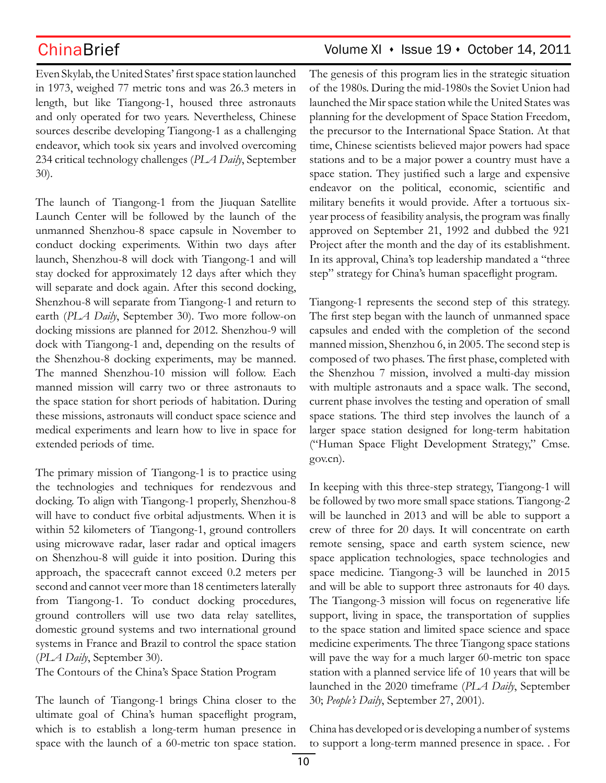Even Skylab, the United States' first space station launched in 1973, weighed 77 metric tons and was 26.3 meters in length, but like Tiangong-1, housed three astronauts and only operated for two years. Nevertheless, Chinese sources describe developing Tiangong-1 as a challenging

endeavor, which took six years and involved overcoming 234 critical technology challenges (*PLA Daily*, September 30).

The launch of Tiangong-1 from the Jiuquan Satellite Launch Center will be followed by the launch of the unmanned Shenzhou-8 space capsule in November to conduct docking experiments. Within two days after launch, Shenzhou-8 will dock with Tiangong-1 and will stay docked for approximately 12 days after which they will separate and dock again. After this second docking, Shenzhou-8 will separate from Tiangong-1 and return to earth (*PLA Daily*, September 30). Two more follow-on docking missions are planned for 2012. Shenzhou-9 will dock with Tiangong-1 and, depending on the results of the Shenzhou-8 docking experiments, may be manned. The manned Shenzhou-10 mission will follow. Each manned mission will carry two or three astronauts to the space station for short periods of habitation. During these missions, astronauts will conduct space science and medical experiments and learn how to live in space for extended periods of time.

The primary mission of Tiangong-1 is to practice using the technologies and techniques for rendezvous and docking. To align with Tiangong-1 properly, Shenzhou-8 will have to conduct five orbital adjustments. When it is within 52 kilometers of Tiangong-1, ground controllers using microwave radar, laser radar and optical imagers on Shenzhou-8 will guide it into position. During this approach, the spacecraft cannot exceed 0.2 meters per second and cannot veer more than 18 centimeters laterally from Tiangong-1. To conduct docking procedures, ground controllers will use two data relay satellites, domestic ground systems and two international ground systems in France and Brazil to control the space station (*PLA Daily*, September 30).

The Contours of the China's Space Station Program

The launch of Tiangong-1 brings China closer to the ultimate goal of China's human spaceflight program, which is to establish a long-term human presence in space with the launch of a 60-metric ton space station.

## ChinaBrief ChinaBrief Volume XI + Issue 19 + October 14, 2011

The genesis of this program lies in the strategic situation of the 1980s. During the mid-1980s the Soviet Union had launched the Mir space station while the United States was planning for the development of Space Station Freedom, the precursor to the International Space Station. At that time, Chinese scientists believed major powers had space stations and to be a major power a country must have a space station. They justified such a large and expensive endeavor on the political, economic, scientific and military benefits it would provide. After a tortuous sixyear process of feasibility analysis, the program was finally approved on September 21, 1992 and dubbed the 921 Project after the month and the day of its establishment. In its approval, China's top leadership mandated a "three step" strategy for China's human spaceflight program.

Tiangong-1 represents the second step of this strategy. The first step began with the launch of unmanned space capsules and ended with the completion of the second manned mission, Shenzhou 6, in 2005. The second step is composed of two phases. The first phase, completed with the Shenzhou 7 mission, involved a multi-day mission with multiple astronauts and a space walk. The second, current phase involves the testing and operation of small space stations. The third step involves the launch of a larger space station designed for long-term habitation ("Human Space Flight Development Strategy," Cmse. gov.cn).

In keeping with this three-step strategy, Tiangong-1 will be followed by two more small space stations. Tiangong-2 will be launched in 2013 and will be able to support a crew of three for 20 days. It will concentrate on earth remote sensing, space and earth system science, new space application technologies, space technologies and space medicine. Tiangong-3 will be launched in 2015 and will be able to support three astronauts for 40 days. The Tiangong-3 mission will focus on regenerative life support, living in space, the transportation of supplies to the space station and limited space science and space medicine experiments. The three Tiangong space stations will pave the way for a much larger 60-metric ton space station with a planned service life of 10 years that will be launched in the 2020 timeframe (*PLA Daily*, September 30; *People's Daily*, September 27, 2001).

China has developed or is developing a number of systems to support a long-term manned presence in space. . For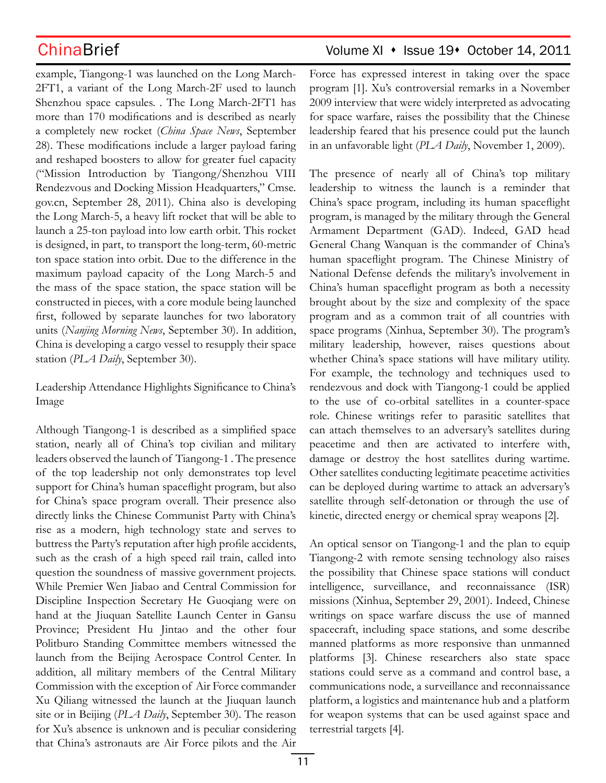example, Tiangong-1 was launched on the Long March-2FT1, a variant of the Long March-2F used to launch Shenzhou space capsules. . The Long March-2FT1 has more than 170 modifications and is described as nearly a completely new rocket (*China Space News*, September 28). These modifications include a larger payload faring and reshaped boosters to allow for greater fuel capacity ("Mission Introduction by Tiangong/Shenzhou VIII Rendezvous and Docking Mission Headquarters," Cmse. gov.cn, September 28, 2011). China also is developing the Long March-5, a heavy lift rocket that will be able to launch a 25-ton payload into low earth orbit. This rocket is designed, in part, to transport the long-term, 60-metric ton space station into orbit. Due to the difference in the maximum payload capacity of the Long March-5 and the mass of the space station, the space station will be constructed in pieces, with a core module being launched first, followed by separate launches for two laboratory units (*Nanjing Morning News*, September 30). In addition, China is developing a cargo vessel to resupply their space station (*PLA Daily*, September 30).

Leadership Attendance Highlights Significance to China's Image

Although Tiangong-1 is described as a simplified space station, nearly all of China's top civilian and military leaders observed the launch of Tiangong-1 . The presence of the top leadership not only demonstrates top level support for China's human spaceflight program, but also for China's space program overall. Their presence also directly links the Chinese Communist Party with China's rise as a modern, high technology state and serves to buttress the Party's reputation after high profile accidents, such as the crash of a high speed rail train, called into question the soundness of massive government projects. While Premier Wen Jiabao and Central Commission for Discipline Inspection Secretary He Guoqiang were on hand at the Jiuquan Satellite Launch Center in Gansu Province; President Hu Jintao and the other four Politburo Standing Committee members witnessed the launch from the Beijing Aerospace Control Center. In addition, all military members of the Central Military Commission with the exception of Air Force commander Xu Qiliang witnessed the launch at the Jiuquan launch site or in Beijing (*PLA Daily*, September 30). The reason for Xu's absence is unknown and is peculiar considering that China's astronauts are Air Force pilots and the Air

## ChinaBrief ChinaBrief Volume XI • Issue 19• October 14, 2011

Force has expressed interest in taking over the space program [1]. Xu's controversial remarks in a November 2009 interview that were widely interpreted as advocating for space warfare, raises the possibility that the Chinese leadership feared that his presence could put the launch in an unfavorable light (*PLA Daily*, November 1, 2009).

The presence of nearly all of China's top military leadership to witness the launch is a reminder that China's space program, including its human spaceflight program, is managed by the military through the General Armament Department (GAD). Indeed, GAD head General Chang Wanquan is the commander of China's human spaceflight program. The Chinese Ministry of National Defense defends the military's involvement in China's human spaceflight program as both a necessity brought about by the size and complexity of the space program and as a common trait of all countries with space programs (Xinhua, September 30). The program's military leadership, however, raises questions about whether China's space stations will have military utility. For example, the technology and techniques used to rendezvous and dock with Tiangong-1 could be applied to the use of co-orbital satellites in a counter-space role. Chinese writings refer to parasitic satellites that can attach themselves to an adversary's satellites during peacetime and then are activated to interfere with, damage or destroy the host satellites during wartime. Other satellites conducting legitimate peacetime activities can be deployed during wartime to attack an adversary's satellite through self-detonation or through the use of kinetic, directed energy or chemical spray weapons [2].

An optical sensor on Tiangong-1 and the plan to equip Tiangong-2 with remote sensing technology also raises the possibility that Chinese space stations will conduct intelligence, surveillance, and reconnaissance (ISR) missions (Xinhua, September 29, 2001). Indeed, Chinese writings on space warfare discuss the use of manned spacecraft, including space stations, and some describe manned platforms as more responsive than unmanned platforms [3]. Chinese researchers also state space stations could serve as a command and control base, a communications node, a surveillance and reconnaissance platform, a logistics and maintenance hub and a platform for weapon systems that can be used against space and terrestrial targets [4].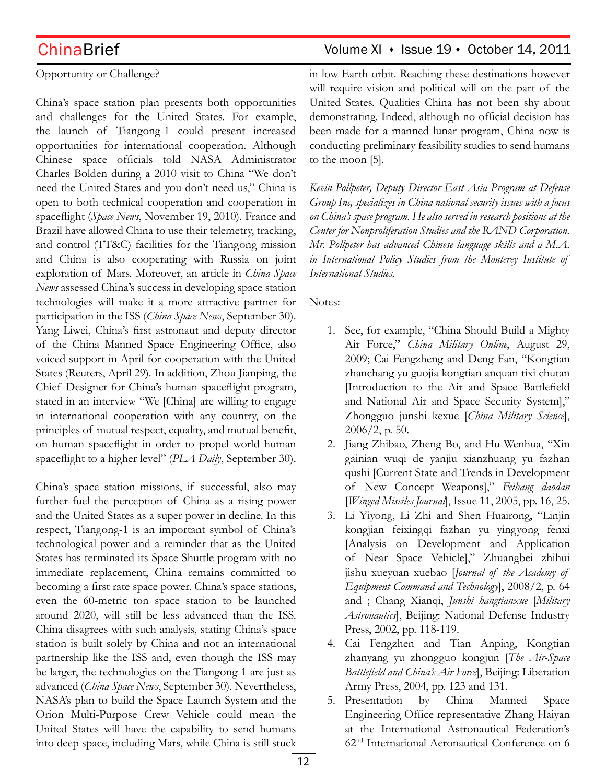### Opportunity or Challenge?

China's space station plan presents both opportunities and challenges for the United States. For example, the launch of Tiangong-1 could present increased opportunities for international cooperation. Although Chinese space officials told NASA Administrator Charles Bolden during a 2010 visit to China "We don't need the United States and you don't need us," China is open to both technical cooperation and cooperation in spaceflight (*Space News*, November 19, 2010). France and Brazil have allowed China to use their telemetry, tracking, and control (TT&C) facilities for the Tiangong mission and China is also cooperating with Russia on joint exploration of Mars. Moreover, an article in *China Space News* assessed China's success in developing space station technologies will make it a more attractive partner for participation in the ISS (*China Space News*, September 30). Yang Liwei, China's first astronaut and deputy director of the China Manned Space Engineering Office, also voiced support in April for cooperation with the United States (Reuters, April 29). In addition, Zhou Jianping, the Chief Designer for China's human spaceflight program, stated in an interview "We [China] are willing to engage in international cooperation with any country, on the principles of mutual respect, equality, and mutual benefit, on human spaceflight in order to propel world human spaceflight to a higher level" (*PLA Daily*, September 30).

China's space station missions, if successful, also may further fuel the perception of China as a rising power and the United States as a super power in decline. In this respect, Tiangong-1 is an important symbol of China's technological power and a reminder that as the United States has terminated its Space Shuttle program with no immediate replacement, China remains committed to becoming a first rate space power. China's space stations, even the 60-metric ton space station to be launched around 2020, will still be less advanced than the ISS. China disagrees with such analysis, stating China's space station is built solely by China and not an international partnership like the ISS and, even though the ISS may be larger, the technologies on the Tiangong-1 are just as advanced (*China Space News*, September 30). Nevertheless, NASA's plan to build the Space Launch System and the Orion Multi-Purpose Crew Vehicle could mean the United States will have the capability to send humans into deep space, including Mars, while China is still stuck

## ChinaBrief ChinaBrief Volume XI + Issue 19 + October 14, 2011

in low Earth orbit. Reaching these destinations however will require vision and political will on the part of the United States. Qualities China has not been shy about demonstrating. Indeed, although no official decision has been made for a manned lunar program, China now is conducting preliminary feasibility studies to send humans to the moon [5].

*Kevin Pollpeter, Deputy Director East Asia Program at Defense Group Inc, specializes in China national security issues with a focus on China's space program. He also served in research positions at the Center for Nonproliferation Studies and the RAND Corporation. Mr. Pollpeter has advanced Chinese language skills and a M.A. in International Policy Studies from the Monterey Institute of International Studies.*

Notes:

- 1. See, for example, "China Should Build a Mighty Air Force," *China Military Online*, August 29, 2009; Cai Fengzheng and Deng Fan, "Kongtian zhanchang yu guojia kongtian anquan tixi chutan [Introduction to the Air and Space Battlefield and National Air and Space Security System]," Zhongguo junshi kexue [*China Military Science*], 2006/2, p. 50.
- 2. Jiang Zhibao, Zheng Bo, and Hu Wenhua, "Xin gainian wuqi de yanjiu xianzhuang yu fazhan qushi [Current State and Trends in Development of New Concept Weapons]," *Feihang daodan* [*Winged Missiles Journal*], Issue 11, 2005, pp. 16, 25.
- 3. Li Yiyong, Li Zhi and Shen Huairong, "Linjin kongjian feixingqi fazhan yu yingyong fenxi [Analysis on Development and Application of Near Space Vehicle]," Zhuangbei zhihui jishu xueyuan xuebao [*Journal of the Academy of Equipment Command and Technology*], 2008/2, p. 64 and ; Chang Xianqi, *Junshi hangtianxue* [*Military Astronautics*], Beijing: National Defense Industry Press, 2002, pp. 118-119.
- 4. Cai Fengzhen and Tian Anping, Kongtian zhanyang yu zhongguo kongjun [*The Air-Space Battlefield and China's Air Force*], Beijing: Liberation Army Press, 2004, pp. 123 and 131.
- 5. Presentation by China Manned Space Engineering Office representative Zhang Haiyan at the International Astronautical Federation's 62nd International Aeronautical Conference on 6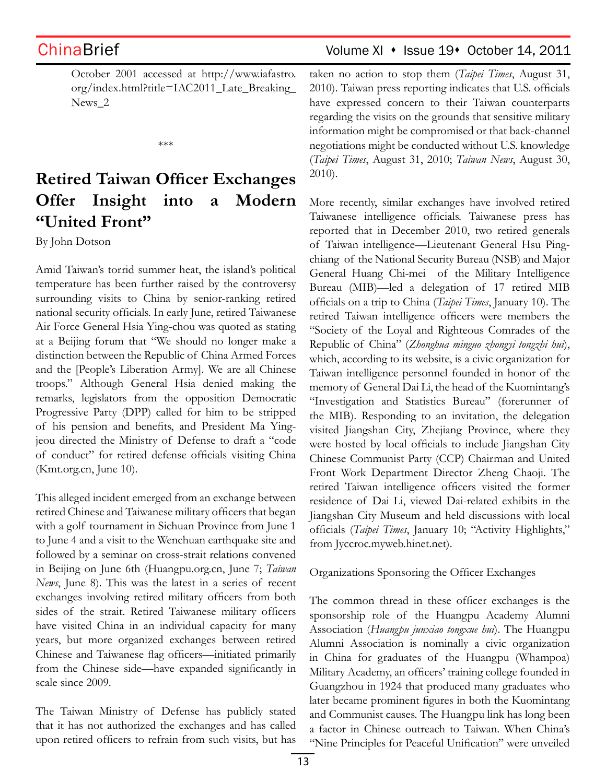October 2001 accessed at http://www.iafastro. org/index.html?title=IAC2011\_Late\_Breaking\_ News\_2

\*\*\*

# **Retired Taiwan Officer Exchanges Offer Insight into a Modern "United Front"**

By John Dotson

Amid Taiwan's torrid summer heat, the island's political temperature has been further raised by the controversy surrounding visits to China by senior-ranking retired national security officials. In early June, retired Taiwanese Air Force General Hsia Ying-chou was quoted as stating at a Beijing forum that "We should no longer make a distinction between the Republic of China Armed Forces and the [People's Liberation Army]. We are all Chinese troops." Although General Hsia denied making the remarks, legislators from the opposition Democratic Progressive Party (DPP) called for him to be stripped of his pension and benefits, and President Ma Yingjeou directed the Ministry of Defense to draft a "code of conduct" for retired defense officials visiting China (Kmt.org.cn, June 10).

This alleged incident emerged from an exchange between retired Chinese and Taiwanese military officers that began with a golf tournament in Sichuan Province from June 1 to June 4 and a visit to the Wenchuan earthquake site and followed by a seminar on cross-strait relations convened in Beijing on June 6th (Huangpu.org.cn, June 7; *Taiwan News*, June 8). This was the latest in a series of recent exchanges involving retired military officers from both sides of the strait. Retired Taiwanese military officers have visited China in an individual capacity for many years, but more organized exchanges between retired Chinese and Taiwanese flag officers—initiated primarily from the Chinese side—have expanded significantly in scale since 2009.

The Taiwan Ministry of Defense has publicly stated that it has not authorized the exchanges and has called upon retired officers to refrain from such visits, but has

## ChinaBrief ChinaBrief Volume XI • Issue 19• October 14, 2011

taken no action to stop them (*Taipei Times*, August 31, 2010). Taiwan press reporting indicates that U.S. officials have expressed concern to their Taiwan counterparts regarding the visits on the grounds that sensitive military information might be compromised or that back-channel negotiations might be conducted without U.S. knowledge (*Taipei Times*, August 31, 2010; *Taiwan News*, August 30, 2010).

More recently, similar exchanges have involved retired Taiwanese intelligence officials. Taiwanese press has reported that in December 2010, two retired generals of Taiwan intelligence—Lieutenant General Hsu Pingchiang of the National Security Bureau (NSB) and Major General Huang Chi-mei of the Military Intelligence Bureau (MIB)—led a delegation of 17 retired MIB officials on a trip to China (*Taipei Times*, January 10). The retired Taiwan intelligence officers were members the "Society of the Loyal and Righteous Comrades of the Republic of China" (*Zhonghua minguo zhongyi tongzhi hui*), which, according to its website, is a civic organization for Taiwan intelligence personnel founded in honor of the memory of General Dai Li, the head of the Kuomintang's "Investigation and Statistics Bureau" (forerunner of the MIB). Responding to an invitation, the delegation visited Jiangshan City, Zhejiang Province, where they were hosted by local officials to include Jiangshan City Chinese Communist Party (CCP) Chairman and United Front Work Department Director Zheng Chaoji. The retired Taiwan intelligence officers visited the former residence of Dai Li, viewed Dai-related exhibits in the Jiangshan City Museum and held discussions with local officials (*Taipei Times*, January 10; "Activity Highlights," from Jyccroc.myweb.hinet.net).

Organizations Sponsoring the Officer Exchanges

The common thread in these officer exchanges is the sponsorship role of the Huangpu Academy Alumni Association (*Huangpu junxiao tongxue hui*). The Huangpu Alumni Association is nominally a civic organization in China for graduates of the Huangpu (Whampoa) Military Academy, an officers' training college founded in Guangzhou in 1924 that produced many graduates who later became prominent figures in both the Kuomintang and Communist causes. The Huangpu link has long been a factor in Chinese outreach to Taiwan. When China's "Nine Principles for Peaceful Unification" were unveiled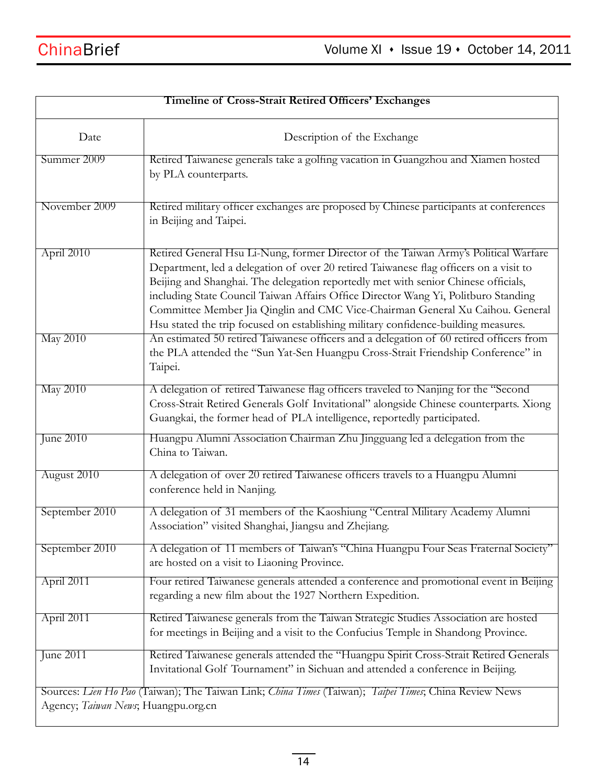| <b>Timeline of Cross-Strait Retired Officers' Exchanges</b>                                                                                  |                                                                                                                                                                                                                                                                                                                                                                                                                                                                                                                                 |  |
|----------------------------------------------------------------------------------------------------------------------------------------------|---------------------------------------------------------------------------------------------------------------------------------------------------------------------------------------------------------------------------------------------------------------------------------------------------------------------------------------------------------------------------------------------------------------------------------------------------------------------------------------------------------------------------------|--|
| Date                                                                                                                                         | Description of the Exchange                                                                                                                                                                                                                                                                                                                                                                                                                                                                                                     |  |
| Summer 2009                                                                                                                                  | Retired Taiwanese generals take a golfing vacation in Guangzhou and Xiamen hosted<br>by PLA counterparts.                                                                                                                                                                                                                                                                                                                                                                                                                       |  |
| November 2009                                                                                                                                | Retired military officer exchanges are proposed by Chinese participants at conferences<br>in Beijing and Taipei.                                                                                                                                                                                                                                                                                                                                                                                                                |  |
| April 2010                                                                                                                                   | Retired General Hsu Li-Nung, former Director of the Taiwan Army's Political Warfare<br>Department, led a delegation of over 20 retired Taiwanese flag officers on a visit to<br>Beijing and Shanghai. The delegation reportedly met with senior Chinese officials,<br>including State Council Taiwan Affairs Office Director Wang Yi, Politburo Standing<br>Committee Member Jia Qinglin and CMC Vice-Chairman General Xu Caihou. General<br>Hsu stated the trip focused on establishing military confidence-building measures. |  |
| <b>May 2010</b>                                                                                                                              | An estimated 50 retired Taiwanese officers and a delegation of 60 retired officers from<br>the PLA attended the "Sun Yat-Sen Huangpu Cross-Strait Friendship Conference" in<br>Taipei.                                                                                                                                                                                                                                                                                                                                          |  |
| <b>May 2010</b>                                                                                                                              | A delegation of retired Taiwanese flag officers traveled to Nanjing for the "Second<br>Cross-Strait Retired Generals Golf Invitational" alongside Chinese counterparts. Xiong<br>Guangkai, the former head of PLA intelligence, reportedly participated.                                                                                                                                                                                                                                                                        |  |
| June 2010                                                                                                                                    | Huangpu Alumni Association Chairman Zhu Jingguang led a delegation from the<br>China to Taiwan.                                                                                                                                                                                                                                                                                                                                                                                                                                 |  |
| August 2010                                                                                                                                  | A delegation of over 20 retired Taiwanese officers travels to a Huangpu Alumni<br>conference held in Nanjing.                                                                                                                                                                                                                                                                                                                                                                                                                   |  |
| September 2010                                                                                                                               | A delegation of 31 members of the Kaoshiung "Central Military Academy Alumni<br>Association" visited Shanghai, Jiangsu and Zhejiang.                                                                                                                                                                                                                                                                                                                                                                                            |  |
| September 2010                                                                                                                               | A delegation of 11 members of Taiwan's "China Huangpu Four Seas Fraternal Society"<br>are hosted on a visit to Liaoning Province.                                                                                                                                                                                                                                                                                                                                                                                               |  |
| April 2011                                                                                                                                   | Four retired Taiwanese generals attended a conference and promotional event in Beijing<br>regarding a new film about the 1927 Northern Expedition.                                                                                                                                                                                                                                                                                                                                                                              |  |
| April 2011                                                                                                                                   | Retired Taiwanese generals from the Taiwan Strategic Studies Association are hosted<br>for meetings in Beijing and a visit to the Confucius Temple in Shandong Province.                                                                                                                                                                                                                                                                                                                                                        |  |
| <b>June 2011</b>                                                                                                                             | Retired Taiwanese generals attended the "Huangpu Spirit Cross-Strait Retired Generals<br>Invitational Golf Tournament" in Sichuan and attended a conference in Beijing.                                                                                                                                                                                                                                                                                                                                                         |  |
| Sources: Lien Ho Pao (Taiwan); The Taiwan Link; China Times (Taiwan); Taipei Times; China Review News<br>Agency; Taiwan News; Huangpu.org.cn |                                                                                                                                                                                                                                                                                                                                                                                                                                                                                                                                 |  |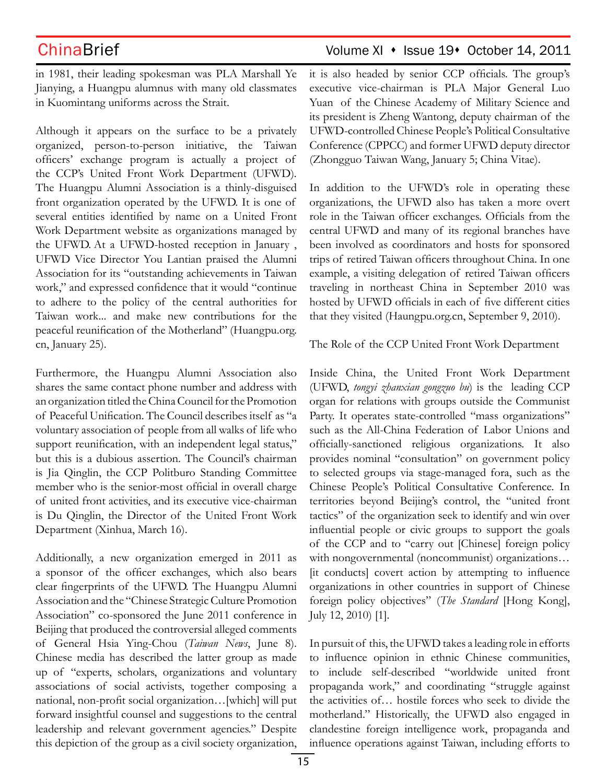in 1981, their leading spokesman was PLA Marshall Ye Jianying, a Huangpu alumnus with many old classmates in Kuomintang uniforms across the Strait.

Although it appears on the surface to be a privately organized, person-to-person initiative, the Taiwan officers' exchange program is actually a project of the CCP's United Front Work Department (UFWD)*.* The Huangpu Alumni Association is a thinly-disguised front organization operated by the UFWD. It is one of several entities identified by name on a United Front Work Department website as organizations managed by the UFWD. At a UFWD-hosted reception in January , UFWD Vice Director You Lantian praised the Alumni Association for its "outstanding achievements in Taiwan work," and expressed confidence that it would "continue to adhere to the policy of the central authorities for Taiwan work... and make new contributions for the peaceful reunification of the Motherland" (Huangpu.org. cn, January 25).

Furthermore, the Huangpu Alumni Association also shares the same contact phone number and address with an organization titled the China Council for the Promotion of Peaceful Unification. The Council describes itself as "a voluntary association of people from all walks of life who support reunification, with an independent legal status," but this is a dubious assertion. The Council's chairman is Jia Qinglin, the CCP Politburo Standing Committee member who is the senior-most official in overall charge of united front activities, and its executive vice-chairman is Du Qinglin, the Director of the United Front Work Department (Xinhua, March 16).

Additionally, a new organization emerged in 2011 as a sponsor of the officer exchanges, which also bears clear fingerprints of the UFWD. The Huangpu Alumni Association and the "Chinese Strategic Culture Promotion Association" co-sponsored the June 2011 conference in Beijing that produced the controversial alleged comments of General Hsia Ying-Chou (*Taiwan News*, June 8). Chinese media has described the latter group as made up of "experts, scholars, organizations and voluntary associations of social activists, together composing a national, non-profit social organization…[which] will put forward insightful counsel and suggestions to the central leadership and relevant government agencies." Despite this depiction of the group as a civil society organization,

## ChinaBrief ChinaBrief Volume XI • Issue 19• October 14, 2011

it is also headed by senior CCP officials. The group's executive vice-chairman is PLA Major General Luo Yuan of the Chinese Academy of Military Science and its president is Zheng Wantong, deputy chairman of the UFWD-controlled Chinese People's Political Consultative Conference (CPPCC) and former UFWD deputy director (Zhongguo Taiwan Wang, January 5; China Vitae).

In addition to the UFWD's role in operating these organizations, the UFWD also has taken a more overt role in the Taiwan officer exchanges. Officials from the central UFWD and many of its regional branches have been involved as coordinators and hosts for sponsored trips of retired Taiwan officers throughout China. In one example, a visiting delegation of retired Taiwan officers traveling in northeast China in September 2010 was hosted by UFWD officials in each of five different cities that they visited (Haungpu.org.cn, September 9, 2010).

The Role of the CCP United Front Work Department

Inside China, the United Front Work Department (UFWD, *tongyi zhanxian gongzuo bu*) is the leading CCP organ for relations with groups outside the Communist Party. It operates state-controlled "mass organizations" such as the All-China Federation of Labor Unions and officially-sanctioned religious organizations. It also provides nominal "consultation" on government policy to selected groups via stage-managed fora, such as the Chinese People's Political Consultative Conference. In territories beyond Beijing's control, the "united front tactics" of the organization seek to identify and win over influential people or civic groups to support the goals of the CCP and to "carry out [Chinese] foreign policy with nongovernmental (noncommunist) organizations… [it conducts] covert action by attempting to influence organizations in other countries in support of Chinese foreign policy objectives" (*The Standard* [Hong Kong], July 12, 2010) [1].

In pursuit of this, the UFWD takes a leading role in efforts to influence opinion in ethnic Chinese communities, to include self-described "worldwide united front propaganda work," and coordinating "struggle against the activities of… hostile forces who seek to divide the motherland." Historically, the UFWD also engaged in clandestine foreign intelligence work, propaganda and influence operations against Taiwan, including efforts to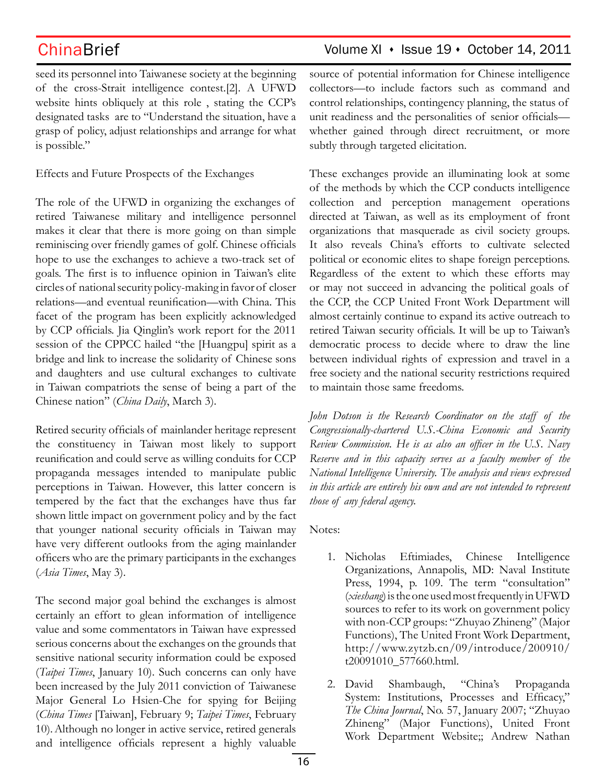ChinaBrief Volume XI · Issue 19 · October 14, 2011

seed its personnel into Taiwanese society at the beginning of the cross-Strait intelligence contest.[2]. A UFWD website hints obliquely at this role , stating the CCP's designated tasks are to "Understand the situation, have a grasp of policy, adjust relationships and arrange for what is possible."

Effects and Future Prospects of the Exchanges

The role of the UFWD in organizing the exchanges of retired Taiwanese military and intelligence personnel makes it clear that there is more going on than simple reminiscing over friendly games of golf. Chinese officials hope to use the exchanges to achieve a two-track set of goals. The first is to influence opinion in Taiwan's elite circles of national security policy-making in favor of closer relations—and eventual reunification—with China. This facet of the program has been explicitly acknowledged by CCP officials. Jia Qinglin's work report for the 2011 session of the CPPCC hailed "the [Huangpu] spirit as a bridge and link to increase the solidarity of Chinese sons and daughters and use cultural exchanges to cultivate in Taiwan compatriots the sense of being a part of the Chinese nation" (*China Daily*, March 3).

Retired security officials of mainlander heritage represent the constituency in Taiwan most likely to support reunification and could serve as willing conduits for CCP propaganda messages intended to manipulate public perceptions in Taiwan. However, this latter concern is tempered by the fact that the exchanges have thus far shown little impact on government policy and by the fact that younger national security officials in Taiwan may have very different outlooks from the aging mainlander officers who are the primary participants in the exchanges (*Asia Times*, May 3).

The second major goal behind the exchanges is almost certainly an effort to glean information of intelligence value and some commentators in Taiwan have expressed serious concerns about the exchanges on the grounds that sensitive national security information could be exposed (*Taipei Times*, January 10). Such concerns can only have been increased by the July 2011 conviction of Taiwanese Major General Lo Hsien-Che for spying for Beijing (*China Times* [Taiwan], February 9; *Taipei Times*, February 10).Although no longer in active service, retired generals and intelligence officials represent a highly valuable

source of potential information for Chinese intelligence collectors—to include factors such as command and control relationships, contingency planning, the status of unit readiness and the personalities of senior officials whether gained through direct recruitment, or more subtly through targeted elicitation.

These exchanges provide an illuminating look at some of the methods by which the CCP conducts intelligence collection and perception management operations directed at Taiwan, as well as its employment of front organizations that masquerade as civil society groups. It also reveals China's efforts to cultivate selected political or economic elites to shape foreign perceptions. Regardless of the extent to which these efforts may or may not succeed in advancing the political goals of the CCP, the CCP United Front Work Department will almost certainly continue to expand its active outreach to retired Taiwan security officials. It will be up to Taiwan's democratic process to decide where to draw the line between individual rights of expression and travel in a free society and the national security restrictions required to maintain those same freedoms.

*John Dotson is the Research Coordinator on the staff of the Congressionally-chartered U.S.-China Economic and Security Review Commission. He is as also an officer in the U.S. Navy Reserve and in this capacity serves as a faculty member of the National Intelligence University. The analysis and views expressed in this article are entirely his own and are not intended to represent those of any federal agency.*

Notes:

- 1. Nicholas Eftimiades, Chinese Intelligence Organizations, Annapolis, MD: Naval Institute Press, 1994, p. 109. The term "consultation" (*xieshang*) is the one used most frequently in UFWD sources to refer to its work on government policy with non-CCP groups: "Zhuyao Zhineng" (Major Functions), The United Front Work Department, http://www.zytzb.cn/09/introduce/200910/ t20091010\_577660.html.
- 2. David Shambaugh, "China's Propaganda System: Institutions, Processes and Efficacy," *The China Journal*, No. 57, January 2007; "Zhuyao Zhineng" (Major Functions), United Front Work Department Website;; Andrew Nathan